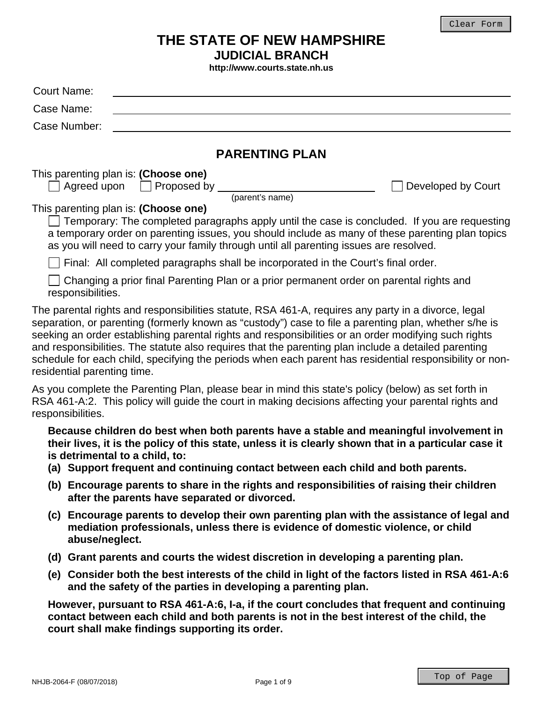# **THE STATE OF NEW HAMPSHIRE JUDICIAL BRANCH**

**http://www.courts.state.nh.us** 

| <b>Court Name:</b>                                                                                                                                                                                                                                                                                                                                                                                                                                                                                                                                                     |                    |
|------------------------------------------------------------------------------------------------------------------------------------------------------------------------------------------------------------------------------------------------------------------------------------------------------------------------------------------------------------------------------------------------------------------------------------------------------------------------------------------------------------------------------------------------------------------------|--------------------|
| Case Name:                                                                                                                                                                                                                                                                                                                                                                                                                                                                                                                                                             |                    |
| Case Number:                                                                                                                                                                                                                                                                                                                                                                                                                                                                                                                                                           |                    |
|                                                                                                                                                                                                                                                                                                                                                                                                                                                                                                                                                                        |                    |
| <b>PARENTING PLAN</b>                                                                                                                                                                                                                                                                                                                                                                                                                                                                                                                                                  |                    |
| This parenting plan is: (Choose one)<br>$\Box$ Agreed upon $\Box$ Proposed by $\Box$<br>(parent's name)                                                                                                                                                                                                                                                                                                                                                                                                                                                                | Developed by Court |
| This parenting plan is: (Choose one)<br>Temporary: The completed paragraphs apply until the case is concluded. If you are requesting<br>a temporary order on parenting issues, you should include as many of these parenting plan topics<br>as you will need to carry your family through until all parenting issues are resolved.                                                                                                                                                                                                                                     |                    |
| Final: All completed paragraphs shall be incorporated in the Court's final order.                                                                                                                                                                                                                                                                                                                                                                                                                                                                                      |                    |
| Changing a prior final Parenting Plan or a prior permanent order on parental rights and<br>responsibilities.                                                                                                                                                                                                                                                                                                                                                                                                                                                           |                    |
| The parental rights and responsibilities statute, RSA 461-A, requires any party in a divorce, legal<br>separation, or parenting (formerly known as "custody") case to file a parenting plan, whether s/he is<br>seeking an order establishing parental rights and responsibilities or an order modifying such rights<br>and responsibilities. The statute also requires that the parenting plan include a detailed parenting<br>schedule for each child, specifying the periods when each parent has residential responsibility or non-<br>residential parenting time. |                    |
| As you complete the Parenting Plan, please bear in mind this state's policy (below) as set forth in<br>RSA 461-A:2. This policy will guide the court in making decisions affecting your parental rights and<br>responsibilities.                                                                                                                                                                                                                                                                                                                                       |                    |
| Because children do best when both parents have a stable and meaningful involvement in<br>their lives, it is the policy of this state, unless it is clearly shown that in a particular case it<br>is detrimental to a child, to:<br>(a) Support frequent and continuing contact between each child and both parents.                                                                                                                                                                                                                                                   |                    |
| (b) Encourage parents to share in the rights and responsibilities of raising their children<br>after the parents have separated or divorced.                                                                                                                                                                                                                                                                                                                                                                                                                           |                    |
| (c) Encourage parents to develop their own parenting plan with the assistance of legal and<br>mediation professionals, unless there is evidence of domestic violence, or child<br>abuse/neglect.                                                                                                                                                                                                                                                                                                                                                                       |                    |
| (d) Grant parents and courts the widest discretion in developing a parenting plan.                                                                                                                                                                                                                                                                                                                                                                                                                                                                                     |                    |
| (e) Consider both the best interests of the child in light of the factors listed in RSA 461-A:6<br>and the safety of the parties in developing a parenting plan.                                                                                                                                                                                                                                                                                                                                                                                                       |                    |
| However, pursuant to RSA 461-A:6, I-a, if the court concludes that frequent and continuing<br>contact between each child and both parents is not in the best interest of the child, the<br>court shall make findings supporting its order.                                                                                                                                                                                                                                                                                                                             |                    |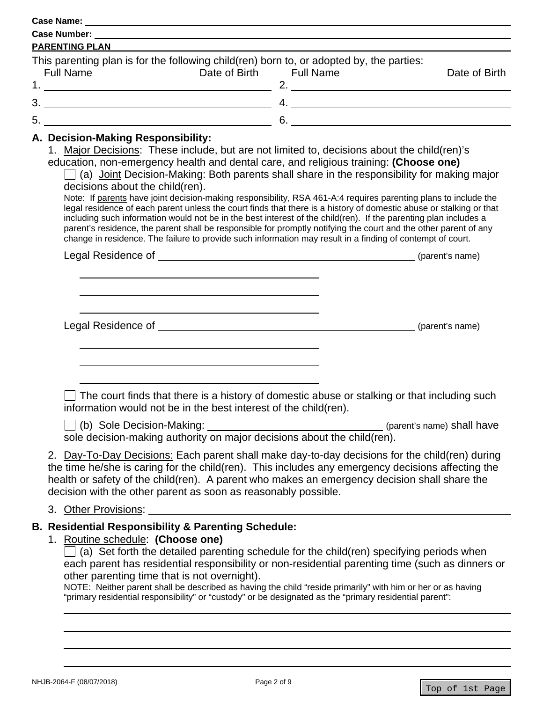**Case Name:**  1. 2. 3. 4.  $5.$ **Case Number: PARENTING PLAN**  This parenting plan is for the following child(ren) born to, or adopted by, the parties: Full Name Date of Birth Full Name Date of Birth  $5.6.$  6.

### **A. Decision-Making Responsibility:**

1. Major Decisions: These include, but are not limited to, decisions about the child(ren)'s

education, non-emergency health and dental care, and religious training: **(Choose one)** 

 $\Box$  (a) Joint Decision-Making: Both parents shall share in the responsibility for making major decisions about the child(ren).

Note: If parents have joint decision-making responsibility, RSA 461-A:4 requires parenting plans to include the legal residence of each parent unless the court finds that there is a history of domestic abuse or stalking or that including such information would not be in the best interest of the child(ren). If the parenting plan includes a parent's residence, the parent shall be responsible for promptly notifying the court and the other parent of any change in residence. The failure to provide such information may result in a finding of contempt of court.

Legal Residence of (parent's name)

 $\overline{a}$  $\overline{a}$  $\overline{a}$ 

 $\overline{a}$  $\overline{a}$ l

Legal Residence of  $\sqrt{p}$  (parent's name)

The court finds that there is a history of domestic abuse or stalking or that including such information would not be in the best interest of the child(ren).

 (b) Sole Decision-Making: (parent's name) shall have sole decision-making authority on major decisions about the child(ren).

2. Day-To-Day Decisions: Each parent shall make day-to-day decisions for the child(ren) during the time he/she is caring for the child(ren). This includes any emergency decisions affecting the health or safety of the child(ren). A parent who makes an emergency decision shall share the decision with the other parent as soon as reasonably possible.

## 3. Other Provisions:

## **B. Residential Responsibility & Parenting Schedule:**

## 1. Routine schedule: **(Choose one)**

 $\Box$  (a) Set forth the detailed parenting schedule for the child(ren) specifying periods when each parent has residential responsibility or non-residential parenting time (such as dinners or other parenting time that is not overnight).

l NOTE: Neither parent shall be described as having the child "reside primarily" with him or her or as having "primary residential responsibility" or "custody" or be designated as the "primary residential parent":

 $\overline{a}$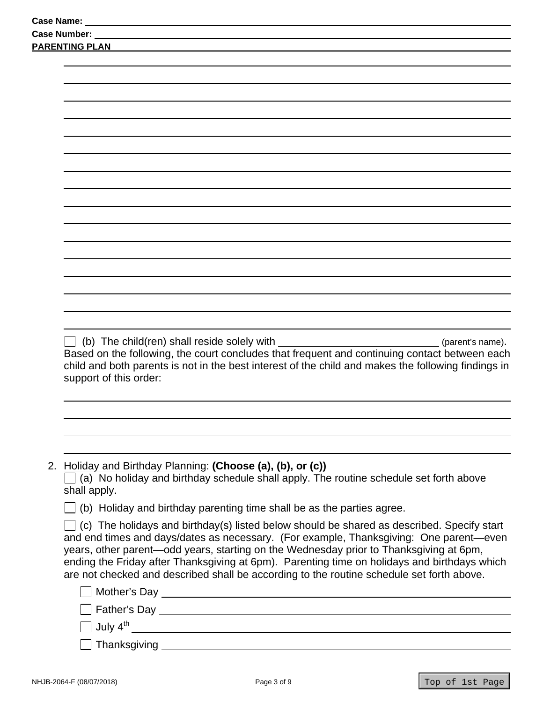| <b>Case Number:</b>                                                                                                                                                                                                                                                                                                                                                           |
|-------------------------------------------------------------------------------------------------------------------------------------------------------------------------------------------------------------------------------------------------------------------------------------------------------------------------------------------------------------------------------|
| <b>PARENTING PLAN</b>                                                                                                                                                                                                                                                                                                                                                         |
|                                                                                                                                                                                                                                                                                                                                                                               |
|                                                                                                                                                                                                                                                                                                                                                                               |
|                                                                                                                                                                                                                                                                                                                                                                               |
|                                                                                                                                                                                                                                                                                                                                                                               |
|                                                                                                                                                                                                                                                                                                                                                                               |
|                                                                                                                                                                                                                                                                                                                                                                               |
|                                                                                                                                                                                                                                                                                                                                                                               |
|                                                                                                                                                                                                                                                                                                                                                                               |
|                                                                                                                                                                                                                                                                                                                                                                               |
|                                                                                                                                                                                                                                                                                                                                                                               |
|                                                                                                                                                                                                                                                                                                                                                                               |
|                                                                                                                                                                                                                                                                                                                                                                               |
|                                                                                                                                                                                                                                                                                                                                                                               |
|                                                                                                                                                                                                                                                                                                                                                                               |
|                                                                                                                                                                                                                                                                                                                                                                               |
|                                                                                                                                                                                                                                                                                                                                                                               |
|                                                                                                                                                                                                                                                                                                                                                                               |
|                                                                                                                                                                                                                                                                                                                                                                               |
| <u> 1980 - Johann Barn, mars an t-Amerikaansk politiker (</u><br>(b) The child(ren) shall reside solely with<br>(parent's name).<br>Based on the following, the court concludes that frequent and continuing contact between each<br>child and both parents is not in the best interest of the child and makes the following findings in<br>support of this order:            |
|                                                                                                                                                                                                                                                                                                                                                                               |
|                                                                                                                                                                                                                                                                                                                                                                               |
|                                                                                                                                                                                                                                                                                                                                                                               |
|                                                                                                                                                                                                                                                                                                                                                                               |
| 2. Holiday and Birthday Planning: (Choose (a), (b), or (c))<br>(a) No holiday and birthday schedule shall apply. The routine schedule set forth above<br>shall apply.                                                                                                                                                                                                         |
| (b) Holiday and birthday parenting time shall be as the parties agree.                                                                                                                                                                                                                                                                                                        |
| (c) The holidays and birthday(s) listed below should be shared as described. Specify start                                                                                                                                                                                                                                                                                    |
| and end times and days/dates as necessary. (For example, Thanksgiving: One parent-even<br>years, other parent-odd years, starting on the Wednesday prior to Thanksgiving at 6pm,<br>ending the Friday after Thanksgiving at 6pm). Parenting time on holidays and birthdays which<br>are not checked and described shall be according to the routine schedule set forth above. |
|                                                                                                                                                                                                                                                                                                                                                                               |
|                                                                                                                                                                                                                                                                                                                                                                               |
|                                                                                                                                                                                                                                                                                                                                                                               |
|                                                                                                                                                                                                                                                                                                                                                                               |
| Thanksgiving research and the contract of the contract of the contract of the contract of the contract of the contract of the contract of the contract of the contract of the contract of the contract of the contract of the                                                                                                                                                 |
|                                                                                                                                                                                                                                                                                                                                                                               |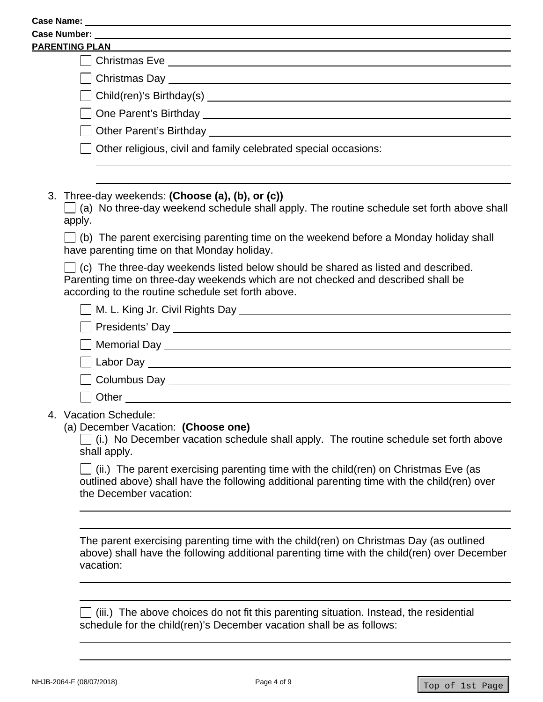| <b>PARENTING PLAN</b>                                                                                                                                                                                                               |
|-------------------------------------------------------------------------------------------------------------------------------------------------------------------------------------------------------------------------------------|
|                                                                                                                                                                                                                                     |
|                                                                                                                                                                                                                                     |
|                                                                                                                                                                                                                                     |
|                                                                                                                                                                                                                                     |
|                                                                                                                                                                                                                                     |
| Other religious, civil and family celebrated special occasions:                                                                                                                                                                     |
|                                                                                                                                                                                                                                     |
| 3. Three-day weekends: (Choose (a), (b), or (c))<br>(a) No three-day weekend schedule shall apply. The routine schedule set forth above shall<br>apply.                                                                             |
| $\Box$ (b) The parent exercising parenting time on the weekend before a Monday holiday shall<br>have parenting time on that Monday holiday.                                                                                         |
| $\Box$ (c) The three-day weekends listed below should be shared as listed and described.<br>Parenting time on three-day weekends which are not checked and described shall be<br>according to the routine schedule set forth above. |
|                                                                                                                                                                                                                                     |
|                                                                                                                                                                                                                                     |
| Memorial Day News And Day News And Day News And Day News And Day News And Day News And Day News And Day News And Day News And Day News And Day News And Day News And Day News And Day News And Day News And Day News And Day N      |
|                                                                                                                                                                                                                                     |
|                                                                                                                                                                                                                                     |
|                                                                                                                                                                                                                                     |
| 4. Vacation Schedule:                                                                                                                                                                                                               |
| (a) December Vacation: (Choose one)<br>(i.) No December vacation schedule shall apply. The routine schedule set forth above<br>shall apply.                                                                                         |
| (ii.) The parent exercising parenting time with the child (ren) on Christmas Eve (as<br>outlined above) shall have the following additional parenting time with the child(ren) over<br>the December vacation:                       |
|                                                                                                                                                                                                                                     |
| The parent exercising parenting time with the child(ren) on Christmas Day (as outlined<br>above) shall have the following additional parenting time with the child(ren) over December<br>vacation:                                  |
|                                                                                                                                                                                                                                     |
|                                                                                                                                                                                                                                     |

(iii.) The above choices do not fit this parenting situation. Instead, the residential schedule for the child(ren)'s December vacation shall be as follows:

l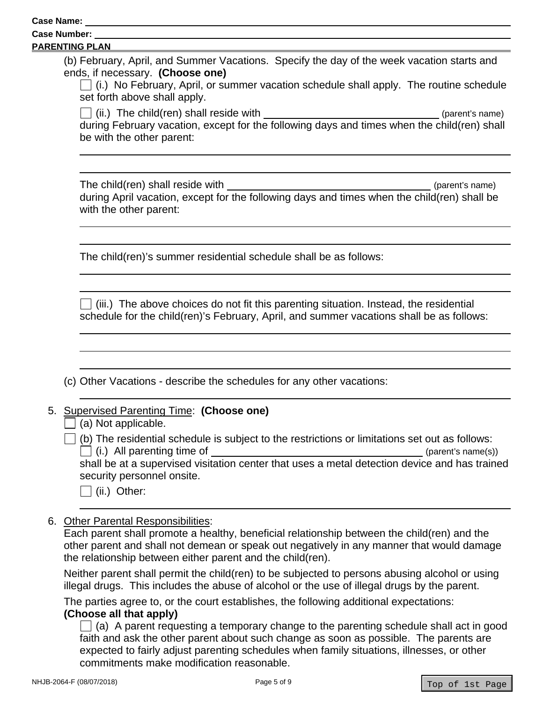# **Case Number:**

### **PARENTING PLAN**

l

 $\overline{a}$ 

 $\overline{a}$ 

l

 $\overline{a}$ 

(b) February, April, and Summer Vacations. Specify the day of the week vacation starts and ends, if necessary. **(Choose one)** 

 $\Box$  (i.) No February, April, or summer vacation schedule shall apply. The routine schedule set forth above shall apply.

 $\Box$  (ii.) The child(ren) shall reside with l (iii.) The children shall reside with (parent's name) during February vacation, except for the following days and times when the child(ren) shall be with the other parent:

The child(ren) shall reside with  $\blacksquare$ during April vacation, except for the following days and times when the child(ren) shall be with the other parent:

The child(ren)'s summer residential schedule shall be as follows:

 $\vert\ \vert$  (iii.) The above choices do not fit this parenting situation. Instead, the residential schedule for the child(ren)'s February, April, and summer vacations shall be as follows:

(c) Other Vacations - describe the schedules for any other vacations:

## 5. Supervised Parenting Time: **(Choose one)**

 $\vert \ \vert$  (b) The residential schedule is subject to the restrictions or limitations set out as follows:  $(i.)$  All parenting time of  $(parent's name(s))$ 

shall be at a supervised visitation center that uses a metal detection device and has trained security personnel onsite.

 $\Box$  (ii.) Other:

6. Other Parental Responsibilities:

Each parent shall promote a healthy, beneficial relationship between the child(ren) and the other parent and shall not demean or speak out negatively in any manner that would damage the relationship between either parent and the child(ren).

Neither parent shall permit the child(ren) to be subjected to persons abusing alcohol or using illegal drugs. This includes the abuse of alcohol or the use of illegal drugs by the parent.

The parties agree to, or the court establishes, the following additional expectations: **(Choose all that apply)** 

 $\Box$  (a) A parent requesting a temporary change to the parenting schedule shall act in good faith and ask the other parent about such change as soon as possible. The parents are expected to fairly adjust parenting schedules when family situations, illnesses, or other commitments make modification reasonable.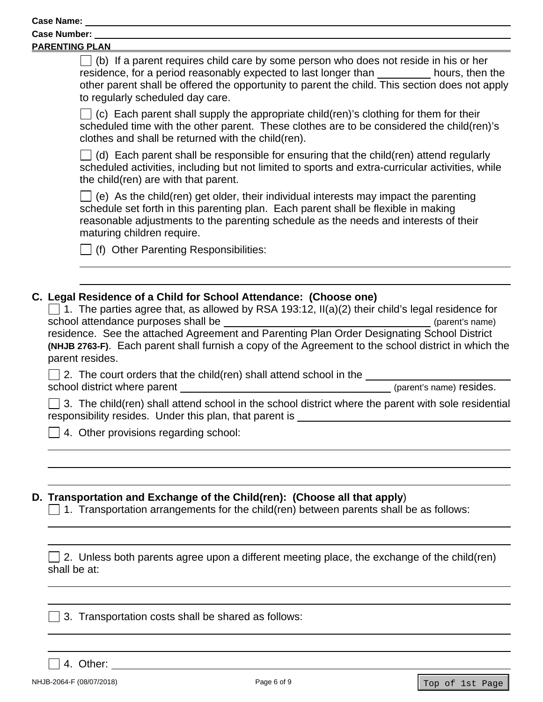**Case Number:** 

| <b>PARENTING PLAN</b> |  |  |
|-----------------------|--|--|
|                       |  |  |

 $\overline{a}$ 

residence, for a period reasonably expected to last longer than hours, then the  $\Box$  (b) If a parent requires child care by some person who does not reside in his or her other parent shall be offered the opportunity to parent the child. This section does not apply to regularly scheduled day care.

 $\Box$  (c) Each parent shall supply the appropriate child(ren)'s clothing for them for their scheduled time with the other parent. These clothes are to be considered the child(ren)'s clothes and shall be returned with the child(ren).

 $\Box$  (d) Each parent shall be responsible for ensuring that the child(ren) attend regularly scheduled activities, including but not limited to sports and extra-curricular activities, while the child(ren) are with that parent.

 $\vert \ \vert$  (e) As the child(ren) get older, their individual interests may impact the parenting schedule set forth in this parenting plan. Each parent shall be flexible in making reasonable adjustments to the parenting schedule as the needs and interests of their maturing children require.

 $\Box$  (f) Other Parenting Responsibilities:

# **C. Legal Residence of a Child for School Attendance: (Choose one)**

| $\Box$ 1. The parties agree that, as allowed by RSA 193:12, II(a)(2) their child's legal residence for |                 |
|--------------------------------------------------------------------------------------------------------|-----------------|
| school attendance purposes shall be                                                                    | (parent's name) |
| residence. See the attached Agreement and Parenting Plan Order Designating School District             |                 |
| (NHJB 2763-F). Each parent shall furnish a copy of the Agreement to the school district in which the   |                 |
| parent resides.                                                                                        |                 |
|                                                                                                        |                 |

 $\Box$  2. The court orders that the child(ren) shall attend school in the school district where parent (parent's name) resides.

 responsibility resides. Under this plan, that parent is  $\Box$  3. The child(ren) shall attend school in the school district where the parent with sole residential

4. Other provisions regarding school:

# **D. Transportation and Exchange of the Child(ren): (Choose all that apply**)

 $\Box$  1. Transportation arrangements for the child(ren) between parents shall be as follows:

 $\Box$  2. Unless both parents agree upon a different meeting place, the exchange of the child(ren) shall be at:

3. Transportation costs shall be shared as follows:

4. Other:

 $\overline{a}$ 

 $\overline{a}$ 

 $\overline{a}$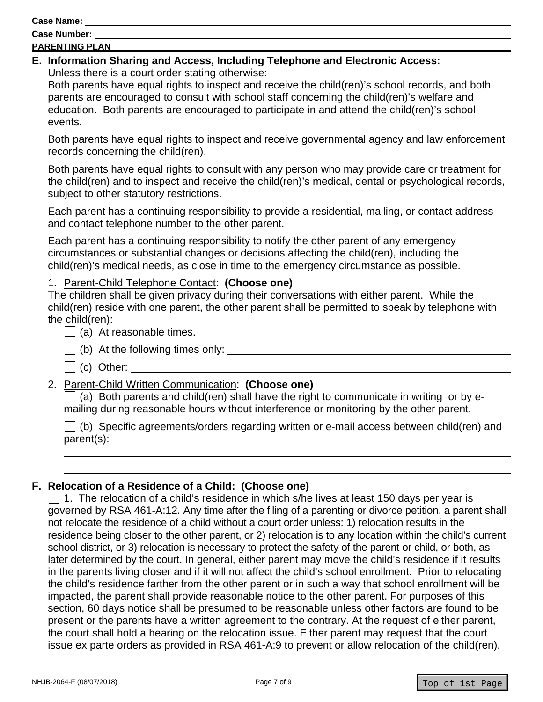**Case Name:** 

### **PARENTING PLAN**

#### **E. Information Sharing and Access, Including Telephone and Electronic Access:** Unless there is a court order stating otherwise:

Both parents have equal rights to inspect and receive the child(ren)'s school records, and both parents are encouraged to consult with school staff concerning the child(ren)'s welfare and education. Both parents are encouraged to participate in and attend the child(ren)'s school events.

Both parents have equal rights to inspect and receive governmental agency and law enforcement records concerning the child(ren).

Both parents have equal rights to consult with any person who may provide care or treatment for the child(ren) and to inspect and receive the child(ren)'s medical, dental or psychological records, subject to other statutory restrictions.

Each parent has a continuing responsibility to provide a residential, mailing, or contact address and contact telephone number to the other parent.

Each parent has a continuing responsibility to notify the other parent of any emergency circumstances or substantial changes or decisions affecting the child(ren), including the child(ren)'s medical needs, as close in time to the emergency circumstance as possible.

# 1. Parent-Child Telephone Contact: **(Choose one)**

The children shall be given privacy during their conversations with either parent. While the child(ren) reside with one parent, the other parent shall be permitted to speak by telephone with the child(ren):

- $\Box$  (a) At reasonable times.
	- (b) At the following times only: \_
	- (c) Other:

 $\overline{a}$ 

# 2. Parent-Child Written Communication: **(Choose one)**

 $\Box$  (a) Both parents and child(ren) shall have the right to communicate in writing or by emailing during reasonable hours without interference or monitoring by the other parent.

 $\Box$  (b) Specific agreements/orders regarding written or e-mail access between child(ren) and parent(s):

## **F. Relocation of a Residence of a Child: (Choose one)**

 later determined by the court. In general, either parent may move the child's residence if it results  $\Box$  1. The relocation of a child's residence in which s/he lives at least 150 days per year is governed by RSA 461-A:12. Any time after the filing of a parenting or divorce petition, a parent shall not relocate the residence of a child without a court order unless: 1) relocation results in the residence being closer to the other parent, or 2) relocation is to any location within the child's current school district, or 3) relocation is necessary to protect the safety of the parent or child, or both, as in the parents living closer and if it will not affect the child's school enrollment. Prior to relocating the child's residence farther from the other parent or in such a way that school enrollment will be impacted, the parent shall provide reasonable notice to the other parent. For purposes of this section, 60 days notice shall be presumed to be reasonable unless other factors are found to be present or the parents have a written agreement to the contrary. At the request of either parent, the court shall hold a hearing on the relocation issue. Either parent may request that the court issue ex parte orders as provided in RSA 461-A:9 to prevent or allow relocation of the child(ren).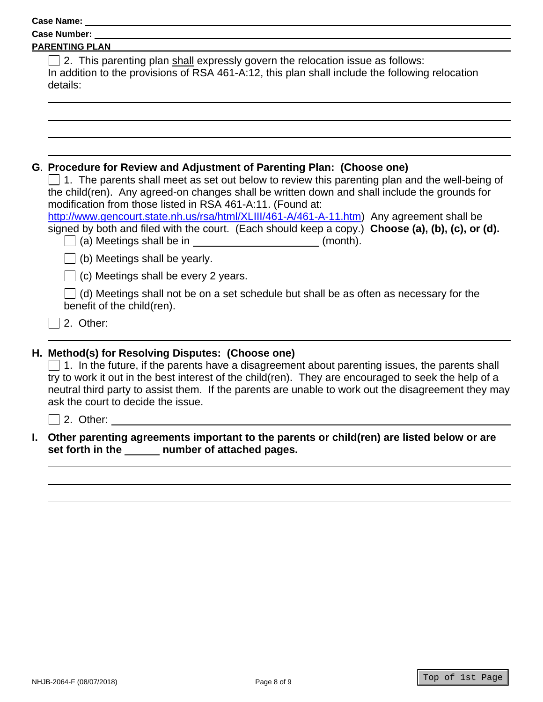| <b>Case Name:</b> |  |
|-------------------|--|
|                   |  |

| <b>Case Number:</b> |  |
|---------------------|--|
|                     |  |

#### **PARENTING PLAN**

| $\Box$ 2. This parenting plan shall expressly govern the relocation issue as follows:           |
|-------------------------------------------------------------------------------------------------|
| In addition to the provisions of RSA 461-A:12, this plan shall include the following relocation |
| details:                                                                                        |
|                                                                                                 |

## **G**. **Procedure for Review and Adjustment of Parenting Plan: (Choose one)**

 $\Box$  1. The parents shall meet as set out below to review this parenting plan and the well-being of the child(ren). Any agreed-on changes shall be written down and shall include the grounds for modification from those listed in RSA 461-A:11. (Found at:

 $\overline{a}$ http://www.gencourt.state.nh.us/rsa/html/XLIII/461-A/461-A-11.htm) Any agreement shall be signed by both and filed with the court. (Each should keep a copy.) **Choose (a), (b), (c), or (d).**   $\Box$  (a) Meetings shall be in (month).

 $\Box$  (b) Meetings shall be yearly.

 $\Box$  (c) Meetings shall be every 2 years.

 $\Box$  (d) Meetings shall not be on a set schedule but shall be as often as necessary for the benefit of the child(ren).

2. Other:

# **H. Method(s) for Resolving Disputes: (Choose one)**

 $\Box$  1. In the future, if the parents have a disagreement about parenting issues, the parents shall try to work it out in the best interest of the child(ren). They are encouraged to seek the help of a neutral third party to assist them. If the parents are unable to work out the disagreement they may ask the court to decide the issue.

2. Other:

 $\overline{a}$ 

# **set forth in the number of attached pages. I. Other parenting agreements important to the parents or child(ren) are listed below or are**